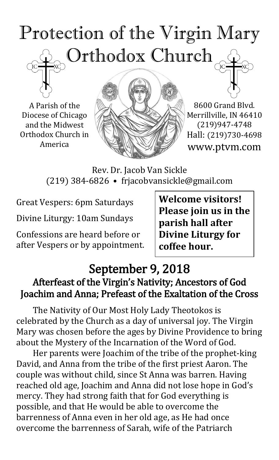# Protection of the Virgin Mary Orthodox Church

A Parish of the Diocese of Chicago and the Midwest Orthodox Church in America



8600 Grand Blvd. Merrillville, IN 46410 (219)947-4748 Hall: (219)730-4698 www.ptvm.com

Rev. Dr. Jacob Van Sickle (219) 384-6826 • frjacobvansickle@gmail.com

Great Vespers: 6pm Saturdays

Divine Liturgy: 10am Sundays

Confessions are heard before or after Vespers or by appointment. **Welcome visitors! Please join us in the parish hall after Divine Liturgy for coffee hour.**

### September 9, 2018 Afterfeast of the Virgin's Nativity; Ancestors of God Joachim and Anna; Prefeast of the Exaltation of the Cross

The Nativity of Our Most Holy Lady Theotokos is celebrated by the Church as a day of universal joy. The Virgin Mary was chosen before the ages by Divine Providence to bring about the Mystery of the Incarnation of the Word of God.

Her parents were Joachim of the tribe of the prophet-king David, and Anna from the tribe of the first priest Aaron. The couple was without child, since St Anna was barren. Having reached old age, Joachim and Anna did not lose hope in God's mercy. They had strong faith that for God everything is possible, and that He would be able to overcome the barrenness of Anna even in her old age, as He had once overcome the barrenness of Sarah, wife of the Patriarch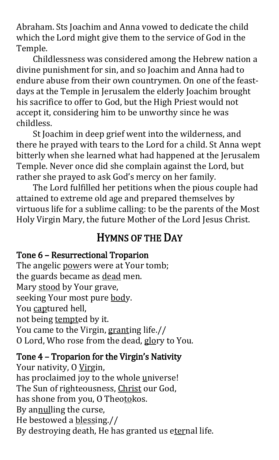Abraham. Sts Joachim and Anna vowed to dedicate the child which the Lord might give them to the service of God in the Temple.

Childlessness was considered among the Hebrew nation a divine punishment for sin, and so Joachim and Anna had to endure abuse from their own countrymen. On one of the feastdays at the Temple in Jerusalem the elderly Joachim brought his sacrifice to offer to God, but the High Priest would not accept it, considering him to be unworthy since he was childless.

St Joachim in deep grief went into the wilderness, and there he prayed with tears to the Lord for a child. St Anna wept bitterly when she learned what had happened at the Jerusalem Temple. Never once did she complain against the Lord, but rather she prayed to ask God's mercy on her family.

The Lord fulfilled her petitions when the pious couple had attained to extreme old age and prepared themselves by virtuous life for a sublime calling: to be the parents of the Most Holy Virgin Mary, the future Mother of the Lord Jesus Christ.

## HYMNS OF THE DAY

### Tone 6 – Resurrectional Troparion

The angelic powers were at Your tomb; the guards became as dead men. Mary stood by Your grave, seeking Your most pure body. You captured hell, not being tempted by it. You came to the Virgin, granting life.// O Lord, Who rose from the dead, glory to You.

### Tone 4 – Troparion for the Virgin's Nativity

Your nativity, O Virgin, has proclaimed joy to the whole universe! The Sun of righteousness, Christ our God, has shone from you, O Theotokos. By annulling the curse, He bestowed a blessing.// By destroying death, He has granted us eternal life.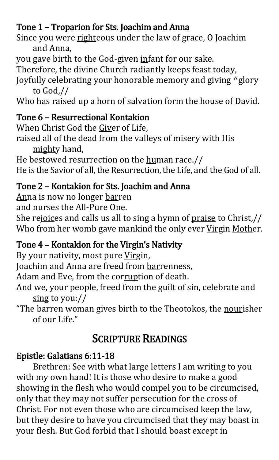### Tone 1 – Troparion for Sts. Joachim and Anna

- Since you were righteous under the law of grace, O Joachim and Anna,
- you gave birth to the God-given infant for our sake.
- Therefore, the divine Church radiantly keeps feast today,
- Joyfully celebrating your honorable memory and giving  $\triangle$ glory to God,//

Who has raised up a horn of salvation form the house of  $Dav$ id.

### Tone 6 – Resurrectional Kontakion

When Christ God the Giver of Life,

raised all of the dead from the valleys of misery with His mighty hand,

He bestowed resurrection on the human race.// He is the Savior of all, the Resurrection, the Life, and the God of all.

### Tone 2 – Kontakion for Sts. Joachim and Anna

Anna is now no longer barren

and nurses the All-Pure One.

She rejoices and calls us all to sing a hymn of praise to Christ,// Who from her womb gave mankind the only ever Virgin Mother.

### Tone 4 – Kontakion for the Virgin's Nativity

By your nativity, most pure Virgin,

Joachim and Anna are freed from barrenness,

Adam and Eve, from the corruption of death.

- And we, your people, freed from the guilt of sin, celebrate and sing to you://
- "The barren woman gives birth to the Theotokos, the nourisher of our Life."

# SCRIPTURE READINGS

### Epistle: Galatians 6:11-18

Brethren: See with what large letters I am writing to you with my own hand! It is those who desire to make a good showing in the flesh who would compel you to be circumcised, only that they may not suffer persecution for the cross of Christ. For not even those who are circumcised keep the law, but they desire to have you circumcised that they may boast in your flesh. But God forbid that I should boast except in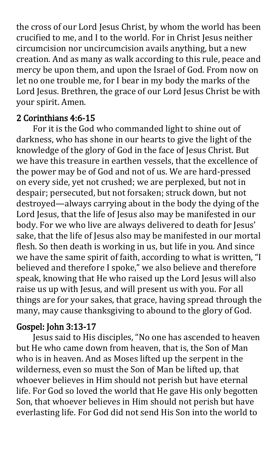the cross of our Lord Jesus Christ, by whom the world has been crucified to me, and I to the world. For in Christ Jesus neither circumcision nor uncircumcision avails anything, but a new creation. And as many as walk according to this rule, peace and mercy be upon them, and upon the Israel of God. From now on let no one trouble me, for I bear in my body the marks of the Lord Jesus. Brethren, the grace of our Lord Jesus Christ be with your spirit. Amen.

### 2 Corinthians 4:6-15

For it is the God who commanded light to shine out of darkness, who has shone in our hearts to give the light of the knowledge of the glory of God in the face of Jesus Christ. But we have this treasure in earthen vessels, that the excellence of the power may be of God and not of us. We are hard-pressed on every side, yet not crushed; we are perplexed, but not in despair; persecuted, but not forsaken; struck down, but not destroyed—always carrying about in the body the dying of the Lord Jesus, that the life of Jesus also may be manifested in our body. For we who live are always delivered to death for Jesus' sake, that the life of Jesus also may be manifested in our mortal flesh. So then death is working in us, but life in you. And since we have the same spirit of faith, according to what is written, "I believed and therefore I spoke," we also believe and therefore speak, knowing that He who raised up the Lord Jesus will also raise us up with Jesus, and will present us with you. For all things are for your sakes, that grace, having spread through the many, may cause thanksgiving to abound to the glory of God.

### Gospel: John 3:13-17

Jesus said to His disciples, "No one has ascended to heaven but He who came down from heaven, that is, the Son of Man who is in heaven. And as Moses lifted up the serpent in the wilderness, even so must the Son of Man be lifted up, that whoever believes in Him should not perish but have eternal life. For God so loved the world that He gave His only begotten Son, that whoever believes in Him should not perish but have everlasting life. For God did not send His Son into the world to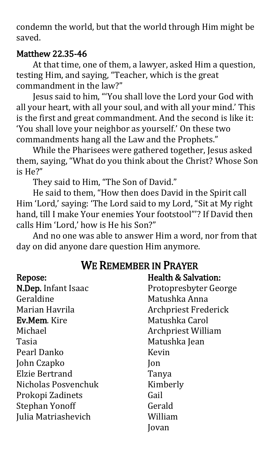condemn the world, but that the world through Him might be saved.

### Matthew 22.35-46

At that time, one of them, a lawyer, asked Him a question, testing Him, and saying, "Teacher, which is the great commandment in the law?"

Jesus said to him, "'You shall love the Lord your God with all your heart, with all your soul, and with all your mind.' This is the first and great commandment. And the second is like it: 'You shall love your neighbor as yourself.' On these two commandments hang all the Law and the Prophets."

 While the Pharisees were gathered together, Jesus asked them, saying, "What do you think about the Christ? Whose Son is He?"

They said to Him, "The Son of David."

 He said to them, "How then does David in the Spirit call Him 'Lord,' saying: 'The Lord said to my Lord, "Sit at My right hand, till I make Your enemies Your footstool"'? If David then calls Him 'Lord,' how is He his Son?"

 And no one was able to answer Him a word, nor from that day on did anyone dare question Him anymore.

### WE REMEMBER IN PRAYER

| Repose:               | <b>Health &amp; Salvation:</b> |
|-----------------------|--------------------------------|
| N.Dep. Infant Isaac   | Protopresbyter George          |
| Geraldine             | Matushka Anna                  |
| Marian Havrila        | <b>Archpriest Frederick</b>    |
| <b>Ev.Mem.</b> Kire   | Matushka Carol                 |
| Michael               | <b>Archpriest William</b>      |
| Tasia                 | Matushka Jean                  |
| Pearl Danko           | Kevin                          |
| John Czapko           | Jon                            |
| Elzie Bertrand        | Tanya                          |
| Nicholas Posvenchuk   | Kimberly                       |
| Prokopi Zadinets      | Gail                           |
| <b>Stephan Yonoff</b> | Gerald                         |
| Julia Matriashevich   | William                        |
|                       | Jovan                          |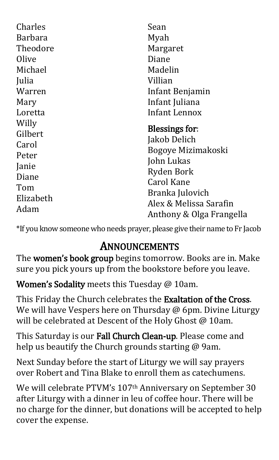| Charles<br><b>Barbara</b><br>Theodore<br>Olive<br>Michael<br>Julia<br>Warren<br>Mary<br>Loretta<br>Willy<br>Gilbert | Sean<br>Myah<br>Margaret<br>Diane<br>Madelin<br>Villian<br>Infant Benjamin<br>Infant Juliana<br>Infant Lennox<br><b>Blessings for:</b><br>Jakob Delich<br>Bogoye Mizimakoski<br>John Lukas<br><b>Ryden Bork</b><br><b>Carol Kane</b><br>Branka Julovich<br>Alex & Melissa Sarafin<br>Anthony & Olga Frangella |
|---------------------------------------------------------------------------------------------------------------------|---------------------------------------------------------------------------------------------------------------------------------------------------------------------------------------------------------------------------------------------------------------------------------------------------------------|
| Carol<br>Peter                                                                                                      |                                                                                                                                                                                                                                                                                                               |
| Janie<br>Diane<br>Tom<br>Elizabeth<br>Adam                                                                          |                                                                                                                                                                                                                                                                                                               |

\*If you know someone who needs prayer, please give their name to Fr Jacob

## ANNOUNCEMENTS

The women's book group begins tomorrow. Books are in. Make sure you pick yours up from the bookstore before you leave.

Women's Sodality meets this Tuesday @ 10am.

This Friday the Church celebrates the Exaltation of the Cross. We will have Vespers here on Thursday @ 6pm. Divine Liturgy will be celebrated at Descent of the Holy Ghost @ 10am.

This Saturday is our Fall Church Clean-up. Please come and help us beautify the Church grounds starting @ 9am.

Next Sunday before the start of Liturgy we will say prayers over Robert and Tina Blake to enroll them as catechumens.

We will celebrate PTVM's 107<sup>th</sup> Anniversary on September 30 after Liturgy with a dinner in leu of coffee hour. There will be no charge for the dinner, but donations will be accepted to help cover the expense.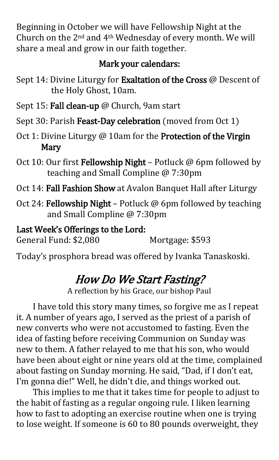Beginning in October we will have Fellowship Night at the Church on the 2nd and 4th Wednesday of every month. We will share a meal and grow in our faith together.

### Mark your calendars:

- Sept 14: Divine Liturgy for Exaltation of the Cross @ Descent of the Holy Ghost, 10am.
- Sept 15: Fall clean-up @ Church, 9am start
- Sept 30: Parish Feast-Day celebration (moved from Oct 1)
- Oct 1: Divine Liturgy @ 10am for the Protection of the Virgin Mary
- Oct 10: Our first Fellowship Night Potluck @ 6pm followed by teaching and Small Compline @ 7:30pm
- Oct 14: Fall Fashion Show at Avalon Banquet Hall after Liturgy
- Oct 24: Fellowship Night Potluck @ 6pm followed by teaching and Small Compline @ 7:30pm

Last Week's Offerings to the Lord:

General Fund: \$2,080 Mortgage: \$593

Today's prosphora bread was offered by Ivanka Tanaskoski.

# How Do We Start Fasting?

A reflection by his Grace, our bishop Paul

I have told this story many times, so forgive me as I repeat it. A number of years ago, I served as the priest of a parish of new converts who were not accustomed to fasting. Even the idea of fasting before receiving Communion on Sunday was new to them. A father relayed to me that his son, who would have been about eight or nine years old at the time, complained about fasting on Sunday morning. He said, "Dad, if I don't eat, I'm gonna die!" Well, he didn't die, and things worked out.

This implies to me that it takes time for people to adjust to the habit of fasting as a regular ongoing rule. I liken learning how to fast to adopting an exercise routine when one is trying to lose weight. If someone is 60 to 80 pounds overweight, they